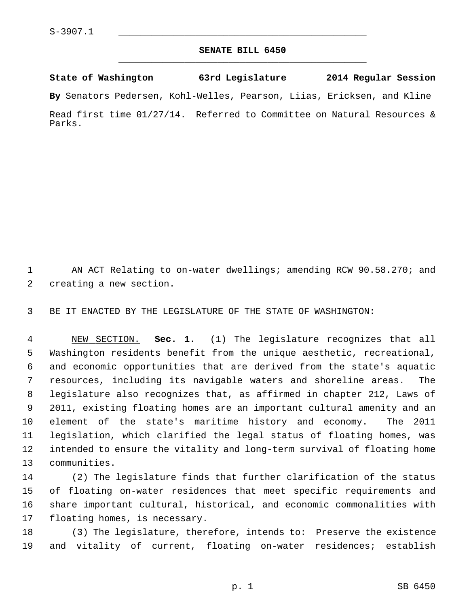## **SENATE BILL 6450** \_\_\_\_\_\_\_\_\_\_\_\_\_\_\_\_\_\_\_\_\_\_\_\_\_\_\_\_\_\_\_\_\_\_\_\_\_\_\_\_\_\_\_\_\_

**State of Washington 63rd Legislature 2014 Regular Session By** Senators Pedersen, Kohl-Welles, Pearson, Liias, Ericksen, and Kline

Read first time 01/27/14. Referred to Committee on Natural Resources & Parks.

1 AN ACT Relating to on-water dwellings; amending RCW 90.58.270; and 2 creating a new section.

3 BE IT ENACTED BY THE LEGISLATURE OF THE STATE OF WASHINGTON:

 4 NEW SECTION. **Sec. 1.** (1) The legislature recognizes that all 5 Washington residents benefit from the unique aesthetic, recreational, 6 and economic opportunities that are derived from the state's aquatic 7 resources, including its navigable waters and shoreline areas. The 8 legislature also recognizes that, as affirmed in chapter 212, Laws of 9 2011, existing floating homes are an important cultural amenity and an 10 element of the state's maritime history and economy. The 2011 11 legislation, which clarified the legal status of floating homes, was 12 intended to ensure the vitality and long-term survival of floating home 13 communities.

14 (2) The legislature finds that further clarification of the status 15 of floating on-water residences that meet specific requirements and 16 share important cultural, historical, and economic commonalities with 17 floating homes, is necessary.

18 (3) The legislature, therefore, intends to: Preserve the existence 19 and vitality of current, floating on-water residences; establish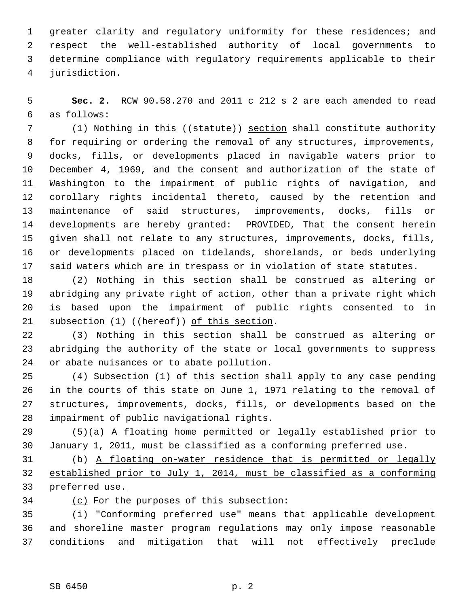1 greater clarity and regulatory uniformity for these residences; and 2 respect the well-established authority of local governments to 3 determine compliance with regulatory requirements applicable to their 4 jurisdiction.

 5 **Sec. 2.** RCW 90.58.270 and 2011 c 212 s 2 are each amended to read 6 as follows:

7 (1) Nothing in this ((statute)) section shall constitute authority 8 for requiring or ordering the removal of any structures, improvements, 9 docks, fills, or developments placed in navigable waters prior to 10 December 4, 1969, and the consent and authorization of the state of 11 Washington to the impairment of public rights of navigation, and 12 corollary rights incidental thereto, caused by the retention and 13 maintenance of said structures, improvements, docks, fills or 14 developments are hereby granted: PROVIDED, That the consent herein 15 given shall not relate to any structures, improvements, docks, fills, 16 or developments placed on tidelands, shorelands, or beds underlying 17 said waters which are in trespass or in violation of state statutes.

18 (2) Nothing in this section shall be construed as altering or 19 abridging any private right of action, other than a private right which 20 is based upon the impairment of public rights consented to in 21 subsection (1) ((hereof)) of this section.

22 (3) Nothing in this section shall be construed as altering or 23 abridging the authority of the state or local governments to suppress 24 or abate nuisances or to abate pollution.

25 (4) Subsection (1) of this section shall apply to any case pending 26 in the courts of this state on June 1, 1971 relating to the removal of 27 structures, improvements, docks, fills, or developments based on the 28 impairment of public navigational rights.

29 (5)(a) A floating home permitted or legally established prior to 30 January 1, 2011, must be classified as a conforming preferred use.

31 (b) A floating on-water residence that is permitted or legally 32 established prior to July 1, 2014, must be classified as a conforming 33 preferred use.

34 (c) For the purposes of this subsection:

35 (i) "Conforming preferred use" means that applicable development 36 and shoreline master program regulations may only impose reasonable 37 conditions and mitigation that will not effectively preclude